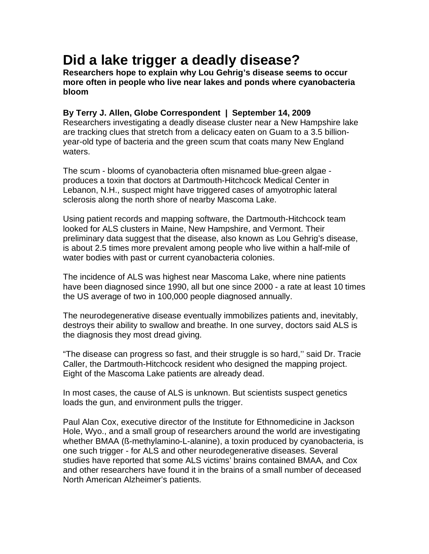## **Did a lake trigger a deadly disease?**

**Researchers hope to explain why Lou Gehrig's disease seems to occur more often in people who live near lakes and ponds where cyanobacteria bloom** 

## **By Terry J. Allen, Globe Correspondent | September 14, 2009**

Researchers investigating a deadly disease cluster near a New Hampshire lake are tracking clues that stretch from a delicacy eaten on Guam to a 3.5 billionyear-old type of bacteria and the green scum that coats many New England waters.

The scum - blooms of cyanobacteria often misnamed blue-green algae produces a toxin that doctors at Dartmouth-Hitchcock Medical Center in Lebanon, N.H., suspect might have triggered cases of amyotrophic lateral sclerosis along the north shore of nearby Mascoma Lake.

Using patient records and mapping software, the Dartmouth-Hitchcock team looked for ALS clusters in Maine, New Hampshire, and Vermont. Their preliminary data suggest that the disease, also known as Lou Gehrig's disease, is about 2.5 times more prevalent among people who live within a half-mile of water bodies with past or current cyanobacteria colonies.

The incidence of ALS was highest near Mascoma Lake, where nine patients have been diagnosed since 1990, all but one since 2000 - a rate at least 10 times the US average of two in 100,000 people diagnosed annually.

The neurodegenerative disease eventually immobilizes patients and, inevitably, destroys their ability to swallow and breathe. In one survey, doctors said ALS is the diagnosis they most dread giving.

"The disease can progress so fast, and their struggle is so hard,'' said Dr. Tracie Caller, the Dartmouth-Hitchcock resident who designed the mapping project. Eight of the Mascoma Lake patients are already dead.

In most cases, the cause of ALS is unknown. But scientists suspect genetics loads the gun, and environment pulls the trigger.

Paul Alan Cox, executive director of the Institute for Ethnomedicine in Jackson Hole, Wyo., and a small group of researchers around the world are investigating whether BMAA (ß-methylamino-L-alanine), a toxin produced by cyanobacteria, is one such trigger - for ALS and other neurodegenerative diseases. Several studies have reported that some ALS victims' brains contained BMAA, and Cox and other researchers have found it in the brains of a small number of deceased North American Alzheimer's patients.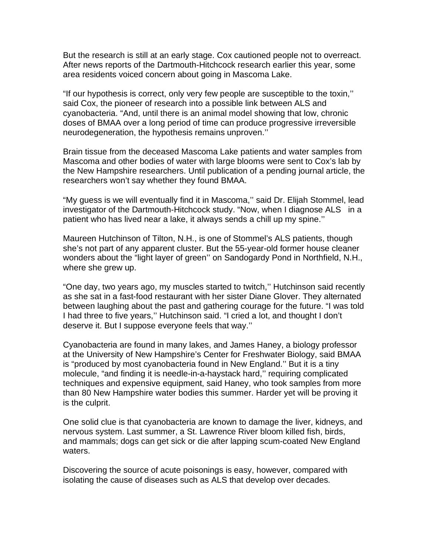But the research is still at an early stage. Cox cautioned people not to overreact. After news reports of the Dartmouth-Hitchcock research earlier this year, some area residents voiced concern about going in Mascoma Lake.

"If our hypothesis is correct, only very few people are susceptible to the toxin,'' said Cox, the pioneer of research into a possible link between ALS and cyanobacteria. "And, until there is an animal model showing that low, chronic doses of BMAA over a long period of time can produce progressive irreversible neurodegeneration, the hypothesis remains unproven.''

Brain tissue from the deceased Mascoma Lake patients and water samples from Mascoma and other bodies of water with large blooms were sent to Cox's lab by the New Hampshire researchers. Until publication of a pending journal article, the researchers won't say whether they found BMAA.

"My guess is we will eventually find it in Mascoma,'' said Dr. Elijah Stommel, lead investigator of the Dartmouth-Hitchcock study. "Now, when I diagnose ALS in a patient who has lived near a lake, it always sends a chill up my spine.''

Maureen Hutchinson of Tilton, N.H., is one of Stommel's ALS patients, though she's not part of any apparent cluster. But the 55-year-old former house cleaner wonders about the "light layer of green'' on Sandogardy Pond in Northfield, N.H., where she grew up.

"One day, two years ago, my muscles started to twitch,'' Hutchinson said recently as she sat in a fast-food restaurant with her sister Diane Glover. They alternated between laughing about the past and gathering courage for the future. "I was told I had three to five years,'' Hutchinson said. "I cried a lot, and thought I don't deserve it. But I suppose everyone feels that way.''

Cyanobacteria are found in many lakes, and James Haney, a biology professor at the University of New Hampshire's Center for Freshwater Biology, said BMAA is "produced by most cyanobacteria found in New England.'' But it is a tiny molecule, "and finding it is needle-in-a-haystack hard,'' requiring complicated techniques and expensive equipment, said Haney, who took samples from more than 80 New Hampshire water bodies this summer. Harder yet will be proving it is the culprit.

One solid clue is that cyanobacteria are known to damage the liver, kidneys, and nervous system. Last summer, a St. Lawrence River bloom killed fish, birds, and mammals; dogs can get sick or die after lapping scum-coated New England waters.

Discovering the source of acute poisonings is easy, however, compared with isolating the cause of diseases such as ALS that develop over decades.